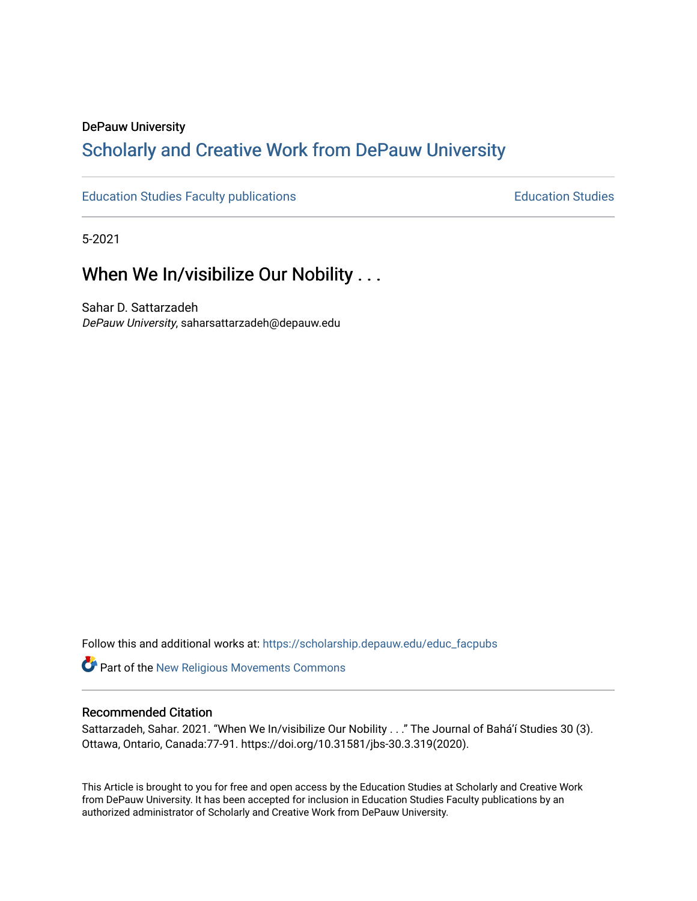# DePauw University

# Scholarly and [Creative Work from DePauw Univ](https://scholarship.depauw.edu/)ersity

[Education Studies Faculty publications](https://scholarship.depauw.edu/educ_facpubs) **Education Studies** Education Studies

5-2021

# When We In/visibilize Our Nobility . . .

Sahar D. Sattarzadeh DePauw University, saharsattarzadeh@depauw.edu

Follow this and additional works at: [https://scholarship.depauw.edu/educ\\_facpubs](https://scholarship.depauw.edu/educ_facpubs?utm_source=scholarship.depauw.edu%2Feduc_facpubs%2F35&utm_medium=PDF&utm_campaign=PDFCoverPages)

Part of the [New Religious Movements Commons](https://network.bepress.com/hgg/discipline/1189?utm_source=scholarship.depauw.edu%2Feduc_facpubs%2F35&utm_medium=PDF&utm_campaign=PDFCoverPages) 

### Recommended Citation

Sattarzadeh, Sahar. 2021. "When We In/visibilize Our Nobility . . ." The Journal of Bahá'í Studies 30 (3). Ottawa, Ontario, Canada:77-91. https://doi.org/10.31581/jbs-30.3.319(2020).

This Article is brought to you for free and open access by the Education Studies at Scholarly and Creative Work from DePauw University. It has been accepted for inclusion in Education Studies Faculty publications by an authorized administrator of Scholarly and Creative Work from DePauw University.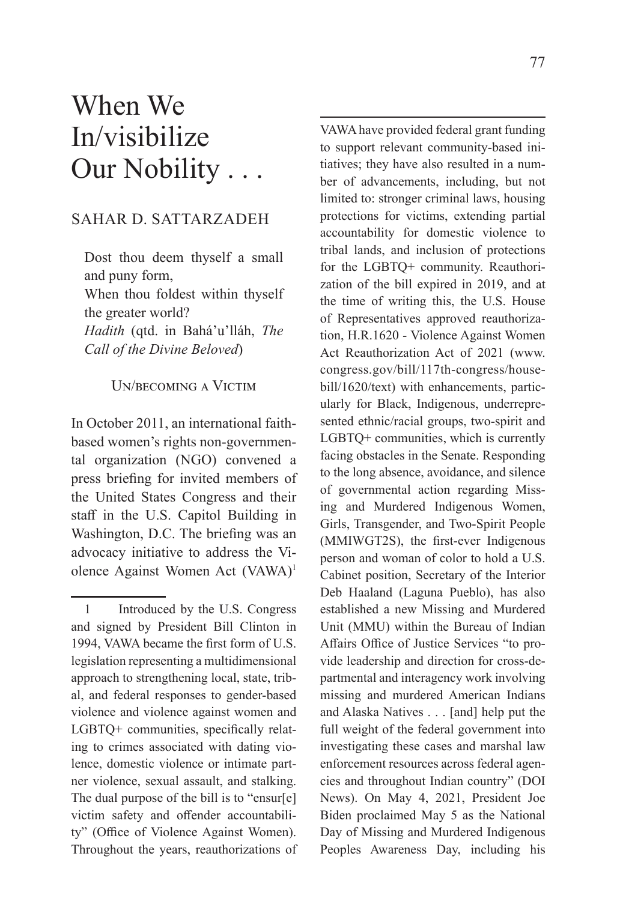# When We In/visibilize Our Nobility . . .

## SAHAR D. SATTARZADEH

Dost thou deem thyself a small and puny form, When thou foldest within thyself the greater world? *Hadith* (qtd. in Bahá'u'lláh, *The Call of the Divine Beloved*)

#### UN/BECOMING A VICTIM

In October 2011, an international faithbased women's rights non-governmental organization (NGO) convened a press briefing for invited members of the United States Congress and their staff in the U.S. Capitol Building in Washington, D.C. The briefing was an advocacy initiative to address the Violence Against Women Act (VAWA)<sup>1</sup>

VAWA have provided federal grant funding to support relevant community-based initiatives; they have also resulted in a number of advancements, including, but not limited to: stronger criminal laws, housing protections for victims, extending partial accountability for domestic violence to tribal lands, and inclusion of protections for the LGBTQ+ community. Reauthorization of the bill expired in 2019, and at the time of writing this, the U.S. House of Representatives approved reauthorization, H.R.1620 - Violence Against Women Act Reauthorization Act of 2021 (www. congress.gov/bill/117th-congress/housebill/1620/text) with enhancements, particularly for Black, Indigenous, underrepresented ethnic/racial groups, two-spirit and LGBTQ+ communities, which is currently facing obstacles in the Senate. Responding to the long absence, avoidance, and silence of governmental action regarding Missing and Murdered Indigenous Women, Girls, Transgender, and Two-Spirit People (MMIWGT2S), the first-ever Indigenous person and woman of color to hold a U.S. Cabinet position, Secretary of the Interior Deb Haaland (Laguna Pueblo), has also established a new Missing and Murdered Unit (MMU) within the Bureau of Indian Affairs Office of Justice Services "to provide leadership and direction for cross-departmental and interagency work involving missing and murdered American Indians and Alaska Natives . . . [and] help put the full weight of the federal government into investigating these cases and marshal law enforcement resources across federal agencies and throughout Indian country" (DOI News). On May 4, 2021, President Joe Biden proclaimed May 5 as the National Day of Missing and Murdered Indigenous Peoples Awareness Day, including his

<sup>1</sup> Introduced by the U.S. Congress and signed by President Bill Clinton in 1994, VAWA became the first form of U.S. legislation representing a multidimensional approach to strengthening local, state, tribal, and federal responses to gender-based violence and violence against women and  $LGBTQ+$  communities, specifically relating to crimes associated with dating violence, domestic violence or intimate partner violence, sexual assault, and stalking. The dual purpose of the bill is to "ensur[e] victim safety and offender accountability" (Office of Violence Against Women). Throughout the years, reauthorizations of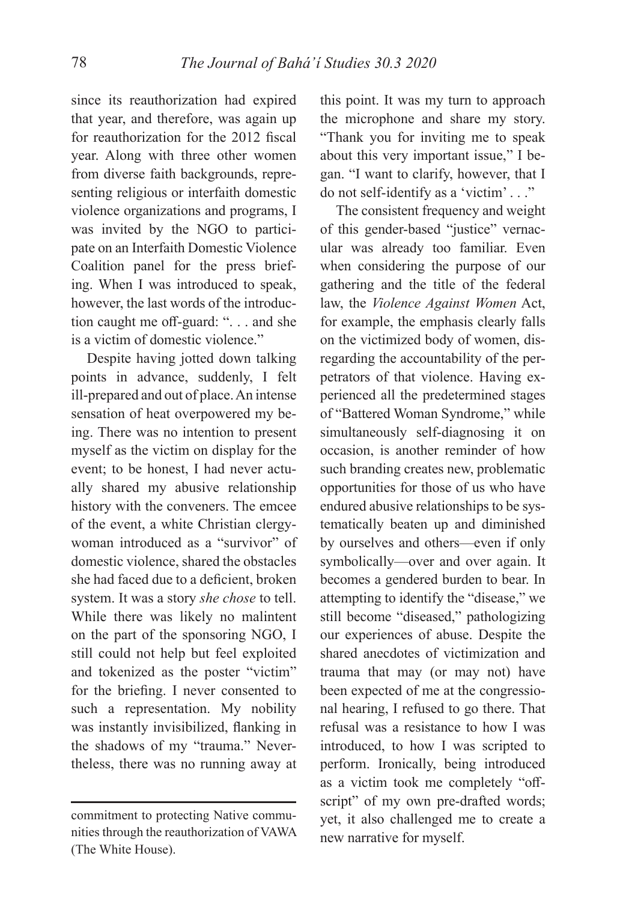since its reauthorization had expired that year, and therefore, was again up for reauthorization for the 2012 fiscal year. Along with three other women from diverse faith backgrounds, representing religious or interfaith domestic violence organizations and programs, I was invited by the NGO to participate on an Interfaith Domestic Violence Coalition panel for the press briefing. When I was introduced to speak, however, the last words of the introduction caught me off-guard: ". . . and she is a victim of domestic violence."

Despite having jotted down talking points in advance, suddenly, I felt ill-prepared and out of place. An intense sensation of heat overpowered my being. There was no intention to present myself as the victim on display for the event; to be honest, I had never actually shared my abusive relationship history with the conveners. The emcee of the event, a white Christian clergywoman introduced as a "survivor" of domestic violence, shared the obstacles she had faced due to a deficient, broken system. It was a story *she chose* to tell. While there was likely no malintent on the part of the sponsoring NGO, I still could not help but feel exploited and tokenized as the poster "victim" for the briefing. I never consented to such a representation. My nobility was instantly invisibilized, flanking in the shadows of my "trauma." Nevertheless, there was no running away at

this point. It was my turn to approach the microphone and share my story. "Thank you for inviting me to speak about this very important issue," I began. "I want to clarify, however, that I do not self-identify as a 'victim' . . ."

The consistent frequency and weight of this gender-based "justice" vernacular was already too familiar. Even when considering the purpose of our gathering and the title of the federal law, the *Violence Against Women* Act, for example, the emphasis clearly falls on the victimized body of women, disregarding the accountability of the perpetrators of that violence. Having experienced all the predetermined stages of "Battered Woman Syndrome," while simultaneously self-diagnosing it on occasion, is another reminder of how such branding creates new, problematic opportunities for those of us who have endured abusive relationships to be systematically beaten up and diminished by ourselves and others—even if only symbolically—over and over again. It becomes a gendered burden to bear. In attempting to identify the "disease," we still become "diseased," pathologizing our experiences of abuse. Despite the shared anecdotes of victimization and trauma that may (or may not) have been expected of me at the congressional hearing, I refused to go there. That refusal was a resistance to how I was introduced, to how I was scripted to perform. Ironically, being introduced as a victim took me completely "offscript" of my own pre-drafted words; yet, it also challenged me to create a new narrative for myself.

commitment to protecting Native communities through the reauthorization of VAWA (The White House).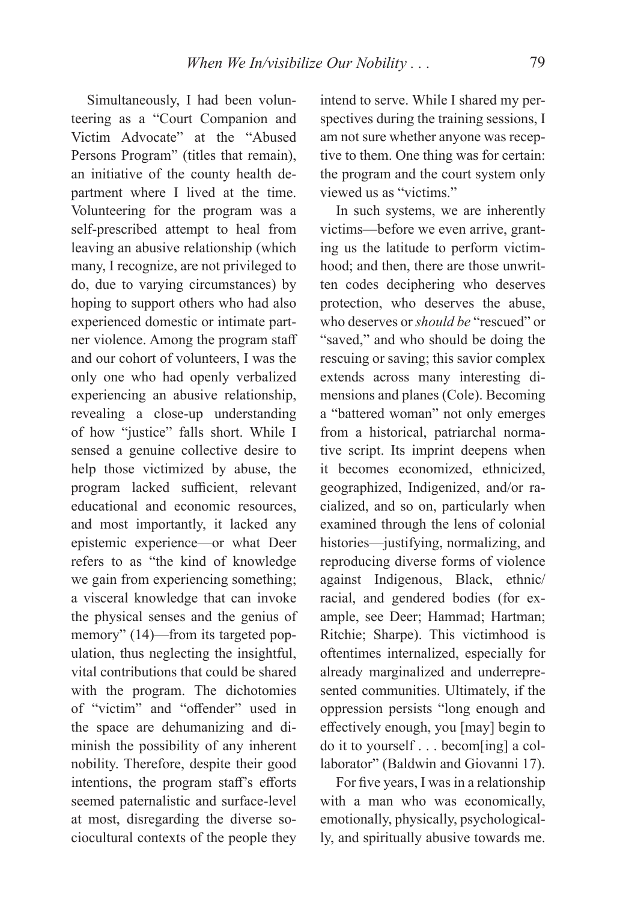Simultaneously, I had been volunteering as a "Court Companion and Victim Advocate" at the "Abused Persons Program" (titles that remain), an initiative of the county health department where I lived at the time. Volunteering for the program was a self-prescribed attempt to heal from leaving an abusive relationship (which many, I recognize, are not privileged to do, due to varying circumstances) by hoping to support others who had also experienced domestic or intimate partner violence. Among the program staff and our cohort of volunteers, I was the only one who had openly verbalized experiencing an abusive relationship, revealing a close-up understanding of how "justice" falls short. While I sensed a genuine collective desire to help those victimized by abuse, the program lacked sufficient, relevant educational and economic resources, and most importantly, it lacked any epistemic experience—or what Deer refers to as "the kind of knowledge we gain from experiencing something; a visceral knowledge that can invoke the physical senses and the genius of memory" (14)—from its targeted population, thus neglecting the insightful, vital contributions that could be shared with the program. The dichotomies of "victim" and "offender" used in the space are dehumanizing and diminish the possibility of any inherent nobility. Therefore, despite their good intentions, the program staff's efforts seemed paternalistic and surface-level at most, disregarding the diverse sociocultural contexts of the people they

intend to serve. While I shared my perspectives during the training sessions, I am not sure whether anyone was receptive to them. One thing was for certain: the program and the court system only viewed us as "victims."

In such systems, we are inherently victims—before we even arrive, granting us the latitude to perform victimhood; and then, there are those unwritten codes deciphering who deserves protection, who deserves the abuse, who deserves or *should be* "rescued" or "saved," and who should be doing the rescuing or saving; this savior complex extends across many interesting dimensions and planes (Cole). Becoming a "battered woman" not only emerges from a historical, patriarchal normative script. Its imprint deepens when it becomes economized, ethnicized, geographized, Indigenized, and/or racialized, and so on, particularly when examined through the lens of colonial histories—justifying, normalizing, and reproducing diverse forms of violence against Indigenous, Black, ethnic/ racial, and gendered bodies (for example, see Deer; Hammad; Hartman; Ritchie; Sharpe). This victimhood is oftentimes internalized, especially for already marginalized and underrepresented communities. Ultimately, if the oppression persists "long enough and effectively enough, you [may] begin to do it to yourself . . . becom[ing] a collaborator" (Baldwin and Giovanni 17).

For five years, I was in a relationship with a man who was economically, emotionally, physically, psychologically, and spiritually abusive towards me.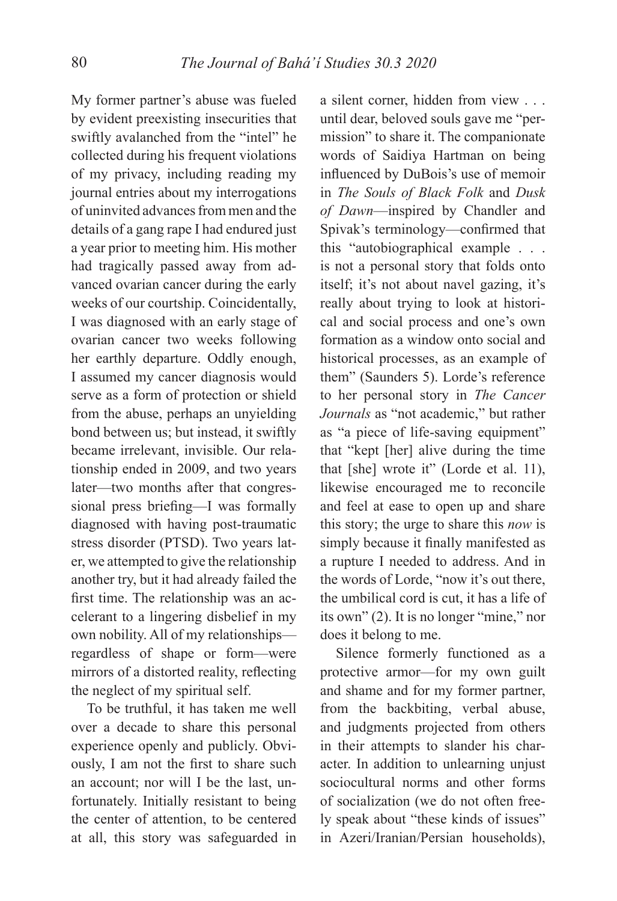My former partner's abuse was fueled by evident preexisting insecurities that swiftly avalanched from the "intel" he collected during his frequent violations of my privacy, including reading my journal entries about my interrogations of uninvited advances from men and the details of a gang rape I had endured just a year prior to meeting him. His mother had tragically passed away from advanced ovarian cancer during the early weeks of our courtship. Coincidentally, I was diagnosed with an early stage of ovarian cancer two weeks following her earthly departure. Oddly enough, I assumed my cancer diagnosis would serve as a form of protection or shield from the abuse, perhaps an unyielding bond between us; but instead, it swiftly became irrelevant, invisible. Our relationship ended in 2009, and two years later—two months after that congressional press briefing—I was formally diagnosed with having post-traumatic stress disorder (PTSD). Two years later, we attempted to give the relationship another try, but it had already failed the first time. The relationship was an accelerant to a lingering disbelief in my own nobility. All of my relationships regardless of shape or form—were mirrors of a distorted reality, reflecting the neglect of my spiritual self.

To be truthful, it has taken me well over a decade to share this personal experience openly and publicly. Obviously, I am not the first to share such an account; nor will I be the last, unfortunately. Initially resistant to being the center of attention, to be centered at all, this story was safeguarded in

a silent corner, hidden from view . . . until dear, beloved souls gave me "permission" to share it. The companionate words of Saidiya Hartman on being influenced by DuBois's use of memoir in *The Souls of Black Folk* and *Dusk of Dawn*—inspired by Chandler and Spivak's terminology—confirmed that this "autobiographical example . . . is not a personal story that folds onto itself; it's not about navel gazing, it's really about trying to look at historical and social process and one's own formation as a window onto social and historical processes, as an example of them" (Saunders 5). Lorde's reference to her personal story in *The Cancer Journals* as "not academic," but rather as "a piece of life-saving equipment" that "kept [her] alive during the time that [she] wrote it" (Lorde et al. 11), likewise encouraged me to reconcile and feel at ease to open up and share this story; the urge to share this *now* is simply because it finally manifested as a rupture I needed to address. And in the words of Lorde, "now it's out there, the umbilical cord is cut, it has a life of its own" (2). It is no longer "mine," nor does it belong to me.

Silence formerly functioned as a protective armor—for my own guilt and shame and for my former partner, from the backbiting, verbal abuse, and judgments projected from others in their attempts to slander his character. In addition to unlearning unjust sociocultural norms and other forms of socialization (we do not often freely speak about "these kinds of issues" in Azeri/Iranian/Persian households),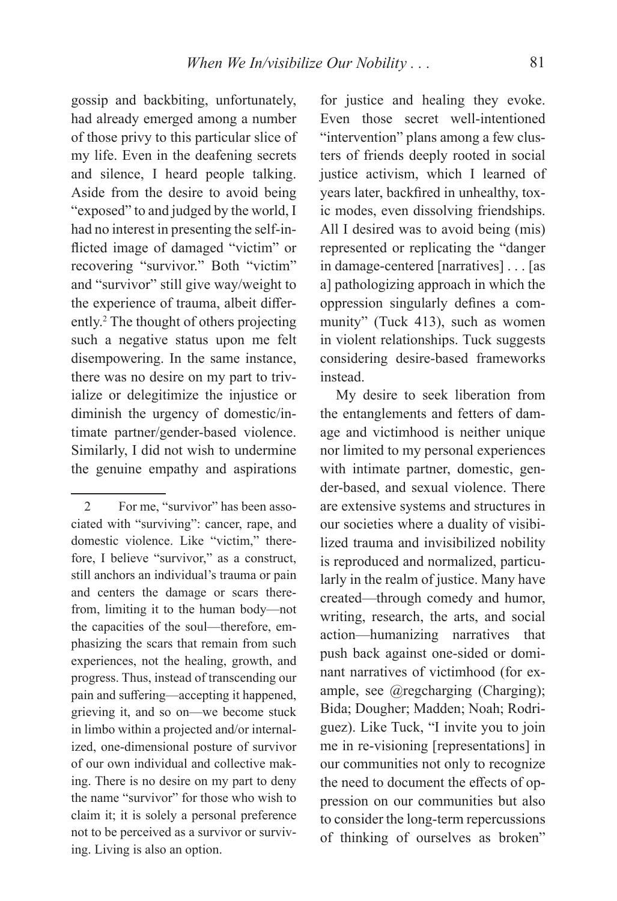gossip and backbiting, unfortunately, had already emerged among a number of those privy to this particular slice of my life. Even in the deafening secrets and silence, I heard people talking. Aside from the desire to avoid being "exposed" to and judged by the world, I had no interest in presenting the self-inflicted image of damaged "victim" or recovering "survivor." Both "victim" and "survivor" still give way/weight to the experience of trauma, albeit differently.2 The thought of others projecting such a negative status upon me felt disempowering. In the same instance, there was no desire on my part to trivialize or delegitimize the injustice or diminish the urgency of domestic/intimate partner/gender-based violence. Similarly, I did not wish to undermine the genuine empathy and aspirations

for justice and healing they evoke. Even those secret well-intentioned "intervention" plans among a few clusters of friends deeply rooted in social justice activism, which I learned of years later, backfired in unhealthy, toxic modes, even dissolving friendships. All I desired was to avoid being (mis) represented or replicating the "danger in damage-centered [narratives] . . . [as a] pathologizing approach in which the oppression singularly defines a community" (Tuck 413), such as women in violent relationships. Tuck suggests considering desire-based frameworks instead.

My desire to seek liberation from the entanglements and fetters of damage and victimhood is neither unique nor limited to my personal experiences with intimate partner, domestic, gender-based, and sexual violence. There are extensive systems and structures in our societies where a duality of visibilized trauma and invisibilized nobility is reproduced and normalized, particularly in the realm of justice. Many have created—through comedy and humor, writing, research, the arts, and social action—humanizing narratives that push back against one-sided or dominant narratives of victimhood (for example, see @regcharging (Charging); Bida; Dougher; Madden; Noah; Rodriguez). Like Tuck, "I invite you to join me in re-visioning [representations] in our communities not only to recognize the need to document the effects of oppression on our communities but also to consider the long-term repercussions of thinking of ourselves as broken"

<sup>2</sup> For me, "survivor" has been associated with "surviving": cancer, rape, and domestic violence. Like "victim," therefore, I believe "survivor," as a construct, still anchors an individual's trauma or pain and centers the damage or scars therefrom, limiting it to the human body—not the capacities of the soul—therefore, emphasizing the scars that remain from such experiences, not the healing, growth, and progress. Thus, instead of transcending our pain and suffering—accepting it happened, grieving it, and so on—we become stuck in limbo within a projected and/or internalized, one-dimensional posture of survivor of our own individual and collective making. There is no desire on my part to deny the name "survivor" for those who wish to claim it; it is solely a personal preference not to be perceived as a survivor or surviving. Living is also an option.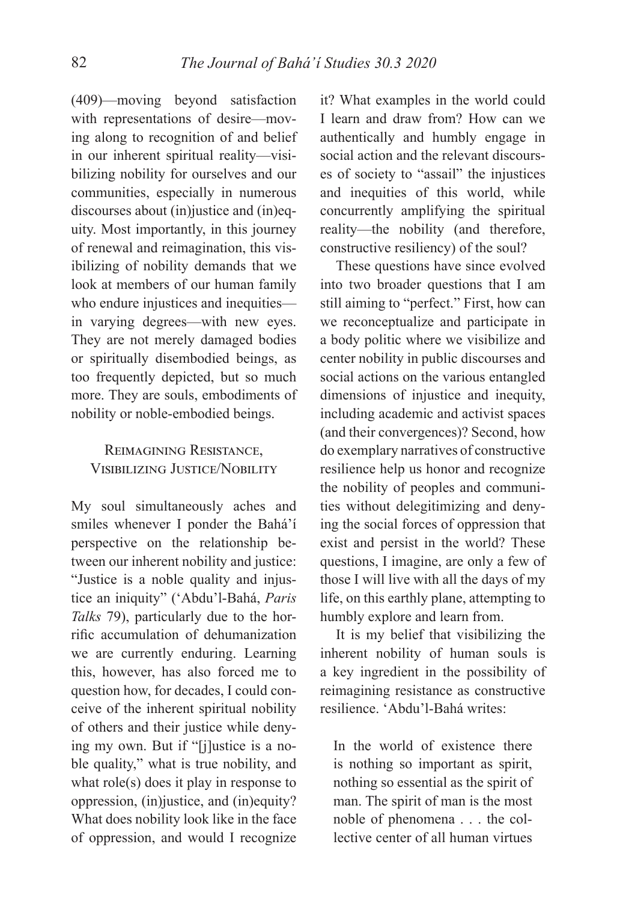(409)—moving beyond satisfaction with representations of desire—moving along to recognition of and belief in our inherent spiritual reality—visibilizing nobility for ourselves and our communities, especially in numerous discourses about (in)justice and (in)equity. Most importantly, in this journey of renewal and reimagination, this visibilizing of nobility demands that we look at members of our human family who endure injustices and inequities in varying degrees—with new eyes. They are not merely damaged bodies or spiritually disembodied beings, as too frequently depicted, but so much more. They are souls, embodiments of nobility or noble-embodied beings.

# REIMAGINING RESISTANCE. Visibilizing Justice/Nobility

My soul simultaneously aches and smiles whenever I ponder the Bahá'í perspective on the relationship between our inherent nobility and justice: "Justice is a noble quality and injustice an iniquity" ('Abdu'l-Bahá, *Paris Talks* 79), particularly due to the horrific accumulation of dehumanization we are currently enduring. Learning this, however, has also forced me to question how, for decades, I could conceive of the inherent spiritual nobility of others and their justice while denying my own. But if "[j]ustice is a noble quality," what is true nobility, and what role(s) does it play in response to oppression, (in)justice, and (in)equity? What does nobility look like in the face of oppression, and would I recognize it? What examples in the world could I learn and draw from? How can we authentically and humbly engage in social action and the relevant discourses of society to "assail" the injustices and inequities of this world, while concurrently amplifying the spiritual reality—the nobility (and therefore, constructive resiliency) of the soul?

These questions have since evolved into two broader questions that I am still aiming to "perfect." First, how can we reconceptualize and participate in a body politic where we visibilize and center nobility in public discourses and social actions on the various entangled dimensions of injustice and inequity, including academic and activist spaces (and their convergences)? Second, how do exemplary narratives of constructive resilience help us honor and recognize the nobility of peoples and communities without delegitimizing and denying the social forces of oppression that exist and persist in the world? These questions, I imagine, are only a few of those I will live with all the days of my life, on this earthly plane, attempting to humbly explore and learn from.

It is my belief that visibilizing the inherent nobility of human souls is a key ingredient in the possibility of reimagining resistance as constructive resilience. 'Abdu'l-Bahá writes:

In the world of existence there is nothing so important as spirit, nothing so essential as the spirit of man. The spirit of man is the most noble of phenomena . . . the collective center of all human virtues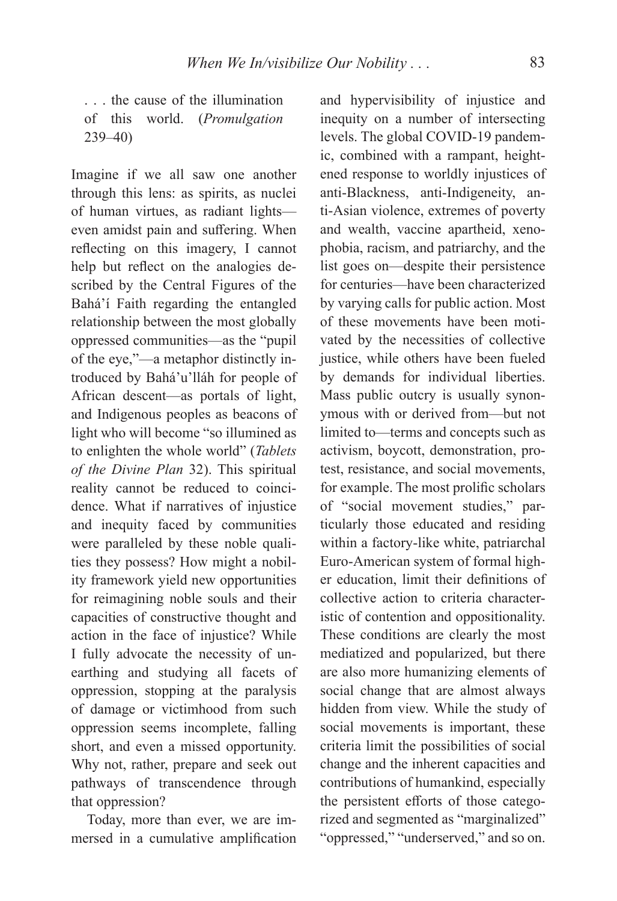. . . the cause of the illumination of this world. (*Promulgation* 239–40)

Imagine if we all saw one another through this lens: as spirits, as nuclei of human virtues, as radiant lights even amidst pain and suffering. When reflecting on this imagery, I cannot help but reflect on the analogies described by the Central Figures of the Bahá'í Faith regarding the entangled relationship between the most globally oppressed communities—as the "pupil of the eye,"—a metaphor distinctly introduced by Bahá'u'lláh for people of African descent—as portals of light, and Indigenous peoples as beacons of light who will become "so illumined as to enlighten the whole world" (*Tablets of the Divine Plan* 32). This spiritual reality cannot be reduced to coincidence. What if narratives of injustice and inequity faced by communities were paralleled by these noble qualities they possess? How might a nobility framework yield new opportunities for reimagining noble souls and their capacities of constructive thought and action in the face of injustice? While I fully advocate the necessity of unearthing and studying all facets of oppression, stopping at the paralysis of damage or victimhood from such oppression seems incomplete, falling short, and even a missed opportunity. Why not, rather, prepare and seek out pathways of transcendence through that oppression?

Today, more than ever, we are immersed in a cumulative amplification

and hypervisibility of injustice and inequity on a number of intersecting levels. The global COVID-19 pandemic, combined with a rampant, heightened response to worldly injustices of anti-Blackness, anti-Indigeneity, anti-Asian violence, extremes of poverty and wealth, vaccine apartheid, xenophobia, racism, and patriarchy, and the list goes on—despite their persistence for centuries—have been characterized by varying calls for public action. Most of these movements have been motivated by the necessities of collective justice, while others have been fueled by demands for individual liberties. Mass public outcry is usually synonymous with or derived from—but not limited to—terms and concepts such as activism, boycott, demonstration, protest, resistance, and social movements, for example. The most prolific scholars of "social movement studies," particularly those educated and residing within a factory-like white, patriarchal Euro-American system of formal higher education, limit their definitions of collective action to criteria characteristic of contention and oppositionality. These conditions are clearly the most mediatized and popularized, but there are also more humanizing elements of social change that are almost always hidden from view. While the study of social movements is important, these criteria limit the possibilities of social change and the inherent capacities and contributions of humankind, especially the persistent efforts of those categorized and segmented as "marginalized" "oppressed," "underserved," and so on.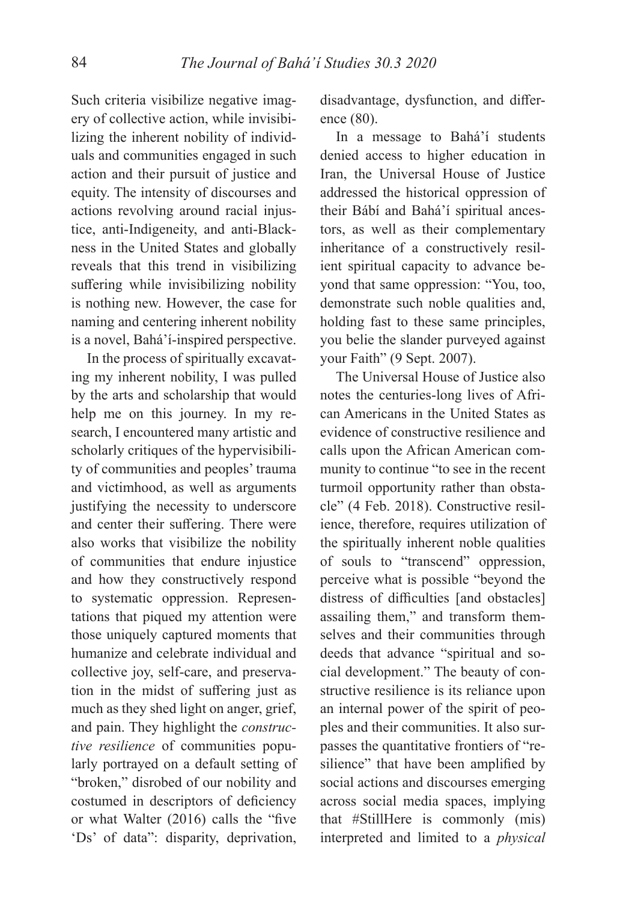Such criteria visibilize negative imagery of collective action, while invisibilizing the inherent nobility of individuals and communities engaged in such action and their pursuit of justice and equity. The intensity of discourses and actions revolving around racial injustice, anti-Indigeneity, and anti-Blackness in the United States and globally reveals that this trend in visibilizing suffering while invisibilizing nobility is nothing new. However, the case for naming and centering inherent nobility is a novel, Bahá'í-inspired perspective.

In the process of spiritually excavating my inherent nobility, I was pulled by the arts and scholarship that would help me on this journey. In my research, I encountered many artistic and scholarly critiques of the hypervisibility of communities and peoples' trauma and victimhood, as well as arguments justifying the necessity to underscore and center their suffering. There were also works that visibilize the nobility of communities that endure injustice and how they constructively respond to systematic oppression. Representations that piqued my attention were those uniquely captured moments that humanize and celebrate individual and collective joy, self-care, and preservation in the midst of suffering just as much as they shed light on anger, grief, and pain. They highlight the *constructive resilience* of communities popularly portrayed on a default setting of "broken," disrobed of our nobility and costumed in descriptors of deficiency or what Walter (2016) calls the "five 'Ds' of data": disparity, deprivation,

disadvantage, dysfunction, and difference (80).

In a message to Bahá'í students denied access to higher education in Iran, the Universal House of Justice addressed the historical oppression of their Bábí and Bahá'í spiritual ancestors, as well as their complementary inheritance of a constructively resilient spiritual capacity to advance beyond that same oppression: "You, too, demonstrate such noble qualities and, holding fast to these same principles, you belie the slander purveyed against your Faith" (9 Sept. 2007).

The Universal House of Justice also notes the centuries-long lives of African Americans in the United States as evidence of constructive resilience and calls upon the African American community to continue "to see in the recent turmoil opportunity rather than obstacle" (4 Feb. 2018). Constructive resilience, therefore, requires utilization of the spiritually inherent noble qualities of souls to "transcend" oppression, perceive what is possible "beyond the distress of difficulties [and obstacles] assailing them," and transform themselves and their communities through deeds that advance "spiritual and social development." The beauty of constructive resilience is its reliance upon an internal power of the spirit of peoples and their communities. It also surpasses the quantitative frontiers of "resilience" that have been amplified by social actions and discourses emerging across social media spaces, implying that #StillHere is commonly (mis) interpreted and limited to a *physical*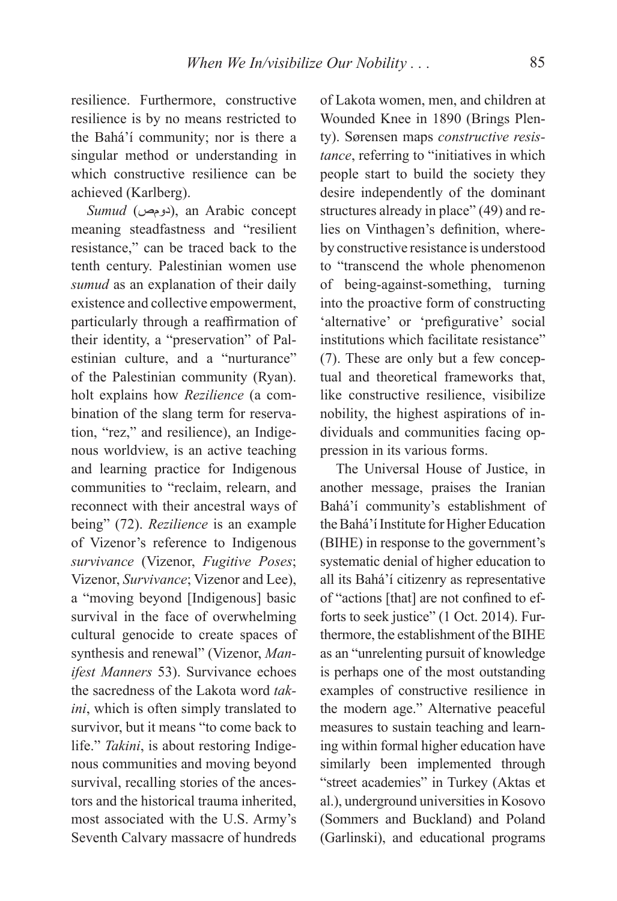resilience. Furthermore, constructive resilience is by no means restricted to the Bahá'í community; nor is there a singular method or understanding in which constructive resilience can be achieved (Karlberg).

*Sumud* (دومص), an Arabic concept meaning steadfastness and "resilient resistance," can be traced back to the tenth century. Palestinian women use *sumud* as an explanation of their daily existence and collective empowerment, particularly through a reaffirmation of their identity, a "preservation" of Palestinian culture, and a "nurturance" of the Palestinian community (Ryan). holt explains how *Rezilience* (a combination of the slang term for reservation, "rez," and resilience), an Indigenous worldview, is an active teaching and learning practice for Indigenous communities to "reclaim, relearn, and reconnect with their ancestral ways of being" (72). *Rezilience* is an example of Vizenor's reference to Indigenous *survivance* (Vizenor, *Fugitive Poses*; Vizenor, *Survivance*; Vizenor and Lee), a "moving beyond [Indigenous] basic survival in the face of overwhelming cultural genocide to create spaces of synthesis and renewal" (Vizenor, *Manifest Manners* 53). Survivance echoes the sacredness of the Lakota word *takini*, which is often simply translated to survivor, but it means "to come back to life." *Takini*, is about restoring Indigenous communities and moving beyond survival, recalling stories of the ancestors and the historical trauma inherited, most associated with the U.S. Army's Seventh Calvary massacre of hundreds

of Lakota women, men, and children at Wounded Knee in 1890 (Brings Plenty). Sørensen maps *constructive resistance*, referring to "initiatives in which people start to build the society they desire independently of the dominant structures already in place" (49) and relies on Vinthagen's definition, whereby constructive resistance is understood to "transcend the whole phenomenon of being-against-something, turning into the proactive form of constructing 'alternative' or 'prefigurative' social institutions which facilitate resistance" (7). These are only but a few conceptual and theoretical frameworks that, like constructive resilience, visibilize nobility, the highest aspirations of individuals and communities facing oppression in its various forms.

The Universal House of Justice, in another message, praises the Iranian Bahá'í community's establishment of the Bahá'í Institute for Higher Education (BIHE) in response to the government's systematic denial of higher education to all its Bahá'í citizenry as representative of "actions [that] are not confined to efforts to seek justice" (1 Oct. 2014). Furthermore, the establishment of the BIHE as an "unrelenting pursuit of knowledge is perhaps one of the most outstanding examples of constructive resilience in the modern age." Alternative peaceful measures to sustain teaching and learning within formal higher education have similarly been implemented through "street academies" in Turkey (Aktas et al.), underground universities in Kosovo (Sommers and Buckland) and Poland (Garlinski), and educational programs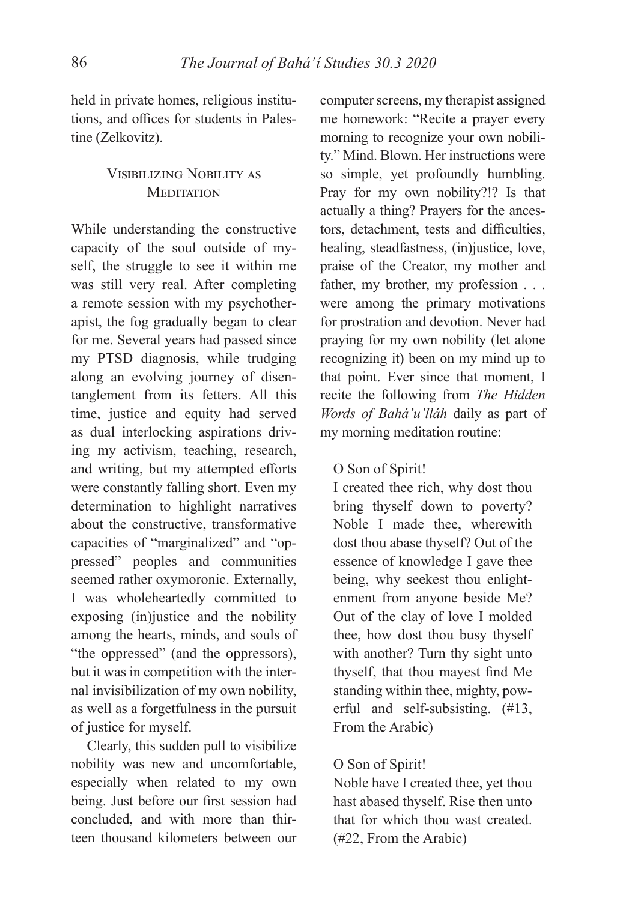held in private homes, religious institutions, and offices for students in Palestine (Zelkovitz).

# VISIBILIZING NOBILITY AS **MEDITATION**

While understanding the constructive capacity of the soul outside of myself, the struggle to see it within me was still very real. After completing a remote session with my psychotherapist, the fog gradually began to clear for me. Several years had passed since my PTSD diagnosis, while trudging along an evolving journey of disentanglement from its fetters. All this time, justice and equity had served as dual interlocking aspirations driving my activism, teaching, research, and writing, but my attempted efforts were constantly falling short. Even my determination to highlight narratives about the constructive, transformative capacities of "marginalized" and "oppressed" peoples and communities seemed rather oxymoronic. Externally, I was wholeheartedly committed to exposing (in)justice and the nobility among the hearts, minds, and souls of "the oppressed" (and the oppressors), but it was in competition with the internal invisibilization of my own nobility, as well as a forgetfulness in the pursuit of justice for myself.

Clearly, this sudden pull to visibilize nobility was new and uncomfortable, especially when related to my own being. Just before our first session had concluded, and with more than thirteen thousand kilometers between our

computer screens, my therapist assigned me homework: "Recite a prayer every morning to recognize your own nobility." Mind. Blown. Her instructions were so simple, yet profoundly humbling. Pray for my own nobility?!? Is that actually a thing? Prayers for the ancestors, detachment, tests and difficulties, healing, steadfastness, (in)justice, love, praise of the Creator, my mother and father, my brother, my profession . . . were among the primary motivations for prostration and devotion. Never had praying for my own nobility (let alone recognizing it) been on my mind up to that point. Ever since that moment, I recite the following from *The Hidden Words of Bahá'u'lláh* daily as part of my morning meditation routine:

### O Son of Spirit!

I created thee rich, why dost thou bring thyself down to poverty? Noble I made thee, wherewith dost thou abase thyself? Out of the essence of knowledge I gave thee being, why seekest thou enlightenment from anyone beside Me? Out of the clay of love I molded thee, how dost thou busy thyself with another? Turn thy sight unto thyself, that thou mayest find Me standing within thee, mighty, powerful and self-subsisting. (#13, From the Arabic)

### O Son of Spirit!

Noble have I created thee, yet thou hast abased thyself. Rise then unto that for which thou wast created. (#22, From the Arabic)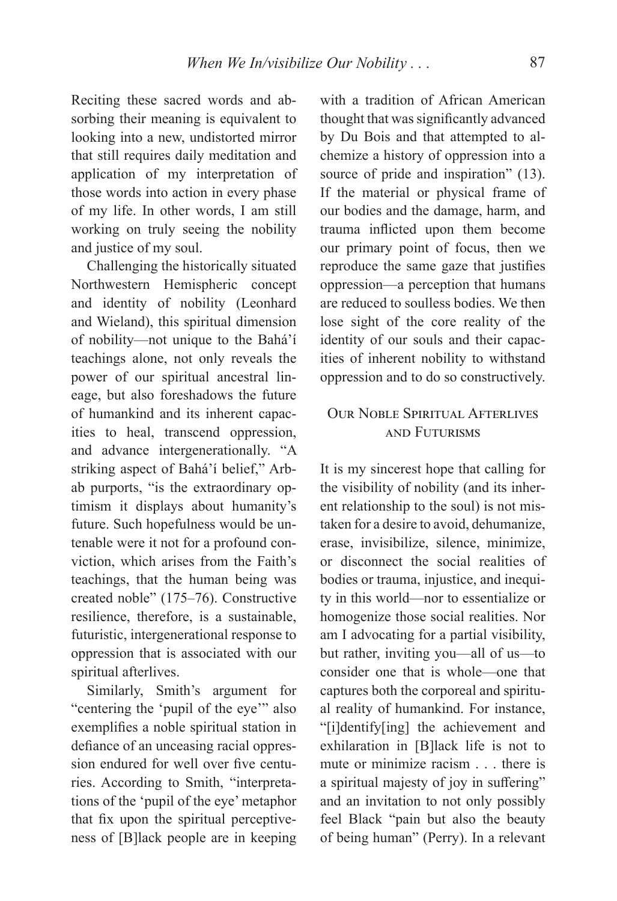Reciting these sacred words and absorbing their meaning is equivalent to looking into a new, undistorted mirror that still requires daily meditation and application of my interpretation of those words into action in every phase of my life. In other words, I am still working on truly seeing the nobility and justice of my soul.

Challenging the historically situated Northwestern Hemispheric concept and identity of nobility (Leonhard and Wieland), this spiritual dimension of nobility—not unique to the Bahá'í teachings alone, not only reveals the power of our spiritual ancestral lineage, but also foreshadows the future of humankind and its inherent capacities to heal, transcend oppression, and advance intergenerationally. "A striking aspect of Bahá'í belief," Arbab purports, "is the extraordinary optimism it displays about humanity's future. Such hopefulness would be untenable were it not for a profound conviction, which arises from the Faith's teachings, that the human being was created noble" (175–76). Constructive resilience, therefore, is a sustainable, futuristic, intergenerational response to oppression that is associated with our spiritual afterlives.

Similarly, Smith's argument for "centering the 'pupil of the eye'" also exemplifies a noble spiritual station in defiance of an unceasing racial oppression endured for well over five centuries. According to Smith, "interpretations of the 'pupil of the eye' metaphor that fix upon the spiritual perceptiveness of [B]lack people are in keeping

with a tradition of African American thought that was significantly advanced by Du Bois and that attempted to alchemize a history of oppression into a source of pride and inspiration" (13). If the material or physical frame of our bodies and the damage, harm, and trauma inflicted upon them become our primary point of focus, then we reproduce the same gaze that justifies oppression—a perception that humans are reduced to soulless bodies. We then lose sight of the core reality of the identity of our souls and their capacities of inherent nobility to withstand oppression and to do so constructively.

# **OUR NOBLE SPIRITUAL AFTERLIVES** AND FUTURISMS

It is my sincerest hope that calling for the visibility of nobility (and its inherent relationship to the soul) is not mistaken for a desire to avoid, dehumanize, erase, invisibilize, silence, minimize, or disconnect the social realities of bodies or trauma, injustice, and inequity in this world—nor to essentialize or homogenize those social realities. Nor am I advocating for a partial visibility, but rather, inviting you—all of us—to consider one that is whole—one that captures both the corporeal and spiritual reality of humankind. For instance, "[i]dentify[ing] the achievement and exhilaration in [B]lack life is not to mute or minimize racism . . . there is a spiritual majesty of joy in suffering" and an invitation to not only possibly feel Black "pain but also the beauty of being human" (Perry). In a relevant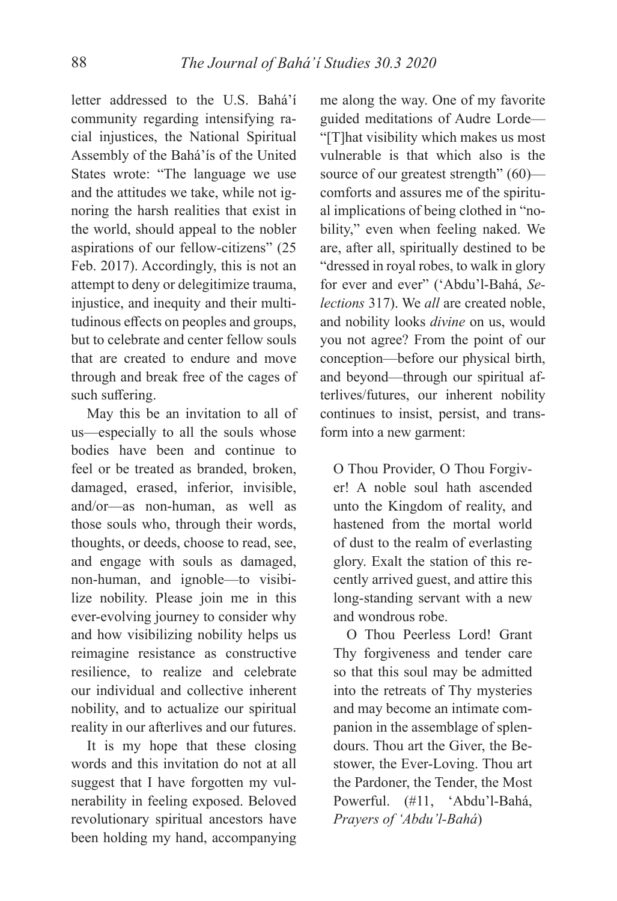letter addressed to the U.S. Bahá'í community regarding intensifying racial injustices, the National Spiritual Assembly of the Bahá'ís of the United States wrote: "The language we use and the attitudes we take, while not ignoring the harsh realities that exist in the world, should appeal to the nobler aspirations of our fellow-citizens" (25 Feb. 2017). Accordingly, this is not an attempt to deny or delegitimize trauma, injustice, and inequity and their multitudinous effects on peoples and groups, but to celebrate and center fellow souls that are created to endure and move through and break free of the cages of such suffering.

May this be an invitation to all of us—especially to all the souls whose bodies have been and continue to feel or be treated as branded, broken, damaged, erased, inferior, invisible, and/or—as non-human, as well as those souls who, through their words, thoughts, or deeds, choose to read, see, and engage with souls as damaged, non-human, and ignoble—to visibilize nobility. Please join me in this ever-evolving journey to consider why and how visibilizing nobility helps us reimagine resistance as constructive resilience, to realize and celebrate our individual and collective inherent nobility, and to actualize our spiritual reality in our afterlives and our futures.

It is my hope that these closing words and this invitation do not at all suggest that I have forgotten my vulnerability in feeling exposed. Beloved revolutionary spiritual ancestors have been holding my hand, accompanying

me along the way. One of my favorite guided meditations of Audre Lorde— "[T]hat visibility which makes us most vulnerable is that which also is the source of our greatest strength" (60) comforts and assures me of the spiritual implications of being clothed in "nobility," even when feeling naked. We are, after all, spiritually destined to be "dressed in royal robes, to walk in glory for ever and ever" ('Abdu'l-Bahá, *Selections* 317). We *all* are created noble, and nobility looks *divine* on us, would you not agree? From the point of our conception—before our physical birth, and beyond—through our spiritual afterlives/futures, our inherent nobility continues to insist, persist, and transform into a new garment:

O Thou Provider, O Thou Forgiver! A noble soul hath ascended unto the Kingdom of reality, and hastened from the mortal world of dust to the realm of everlasting glory. Exalt the station of this recently arrived guest, and attire this long-standing servant with a new and wondrous robe.

O Thou Peerless Lord! Grant Thy forgiveness and tender care so that this soul may be admitted into the retreats of Thy mysteries and may become an intimate companion in the assemblage of splendours. Thou art the Giver, the Bestower, the Ever-Loving. Thou art the Pardoner, the Tender, the Most Powerful. (#11, 'Abdu'l-Bahá, *Prayers of 'Abdu'l-Bahá*)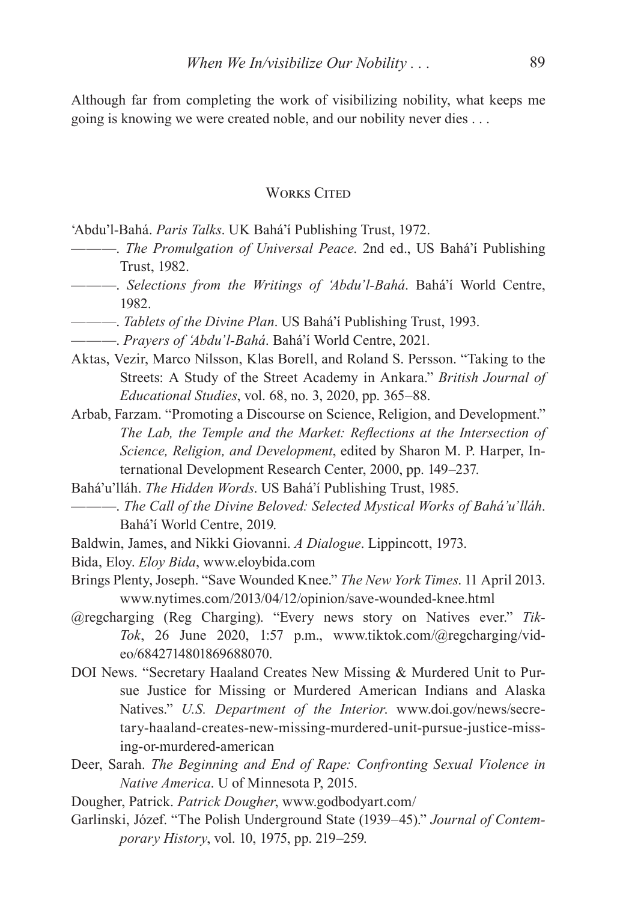Although far from completing the work of visibilizing nobility, what keeps me going is knowing we were created noble, and our nobility never dies . . .

#### **WORKS CITED**

'Abdu'l-Bahá. *Paris Talks*. UK Bahá'í Publishing Trust, 1972.

- ———. *The Promulgation of Universal Peace*. 2nd ed., US Bahá'í Publishing Trust, 1982.
- ———. *Selections from the Writings of 'Abdu'l-Bahá*. Bahá'í World Centre, 1982.
- ———. *Tablets of the Divine Plan*. US Bahá'í Publishing Trust, 1993.
- ———. *Prayers of 'Abdu'l-Bahá*. Bahá'í World Centre, 2021.
- Aktas, Vezir, Marco Nilsson, Klas Borell, and Roland S. Persson. "Taking to the Streets: A Study of the Street Academy in Ankara." *British Journal of Educational Studies*, vol. 68, no. 3, 2020, pp. 365–88.
- Arbab, Farzam. "Promoting a Discourse on Science, Religion, and Development." The Lab, the Temple and the Market: Reflections at the Intersection of *Science, Religion, and Development*, edited by Sharon M. P. Harper, International Development Research Center, 2000, pp. 149–237.
- Bahá'u'lláh. *The Hidden Words*. US Bahá'í Publishing Trust, 1985.
- ———. *The Call of the Divine Beloved: Selected Mystical Works of Bahá'u'lláh*. Bahá'í World Centre, 2019.
- Baldwin, James, and Nikki Giovanni. *A Dialogue*. Lippincott, 1973.
- Bida, Eloy. *Eloy Bida*, www.eloybida.com
- Brings Plenty, Joseph. "Save Wounded Knee." *The New York Times*. 11 April 2013. www.nytimes.com/2013/04/12/opinion/save-wounded-knee.html
- @regcharging (Reg Charging). "Every news story on Natives ever." *Tik-Tok*, 26 June 2020, 1:57 p.m., www.tiktok.com/@regcharging/video/6842714801869688070.
- DOI News. "Secretary Haaland Creates New Missing & Murdered Unit to Pursue Justice for Missing or Murdered American Indians and Alaska Natives." *U.S. Department of the Interior*. www.doi.gov/news/secretary-haaland-creates-new-missing-murdered-unit-pursue-justice-missing-or-murdered-american
- Deer, Sarah. *The Beginning and End of Rape: Confronting Sexual Violence in Native America*. U of Minnesota P, 2015.
- Dougher, Patrick. *Patrick Dougher*, www.godbodyart.com/
- Garlinski, Józef. "The Polish Underground State (1939–45)." *Journal of Contemporary History*, vol. 10, 1975, pp. 219–259.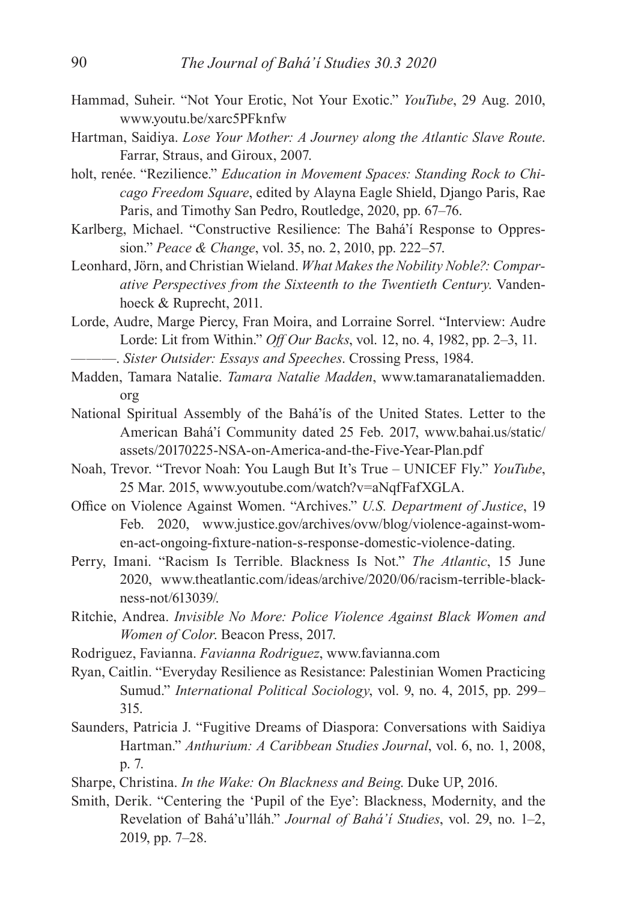- Hammad, Suheir. "Not Your Erotic, Not Your Exotic." *YouTube*, 29 Aug. 2010, www.youtu.be/xarc5PFknfw
- Hartman, Saidiya. *Lose Your Mother: A Journey along the Atlantic Slave Route*. Farrar, Straus, and Giroux, 2007.
- holt, renée. "Rezilience." *Education in Movement Spaces: Standing Rock to Chicago Freedom Square*, edited by Alayna Eagle Shield, Django Paris, Rae Paris, and Timothy San Pedro, Routledge, 2020, pp. 67–76.
- Karlberg, Michael. "Constructive Resilience: The Bahá'í Response to Oppression." *Peace & Change*, vol. 35, no. 2, 2010, pp. 222–57.
- Leonhard, Jörn, and Christian Wieland. *What Makes the Nobility Noble?: Comparative Perspectives from the Sixteenth to the Twentieth Century*. Vandenhoeck & Ruprecht, 2011.
- Lorde, Audre, Marge Piercy, Fran Moira, and Lorraine Sorrel. "Interview: Audre Lorde: Lit from Within." *Off Our Backs*, vol. 12, no. 4, 1982, pp. 2–3, 11. ———. *Sister Outsider: Essays and Speeches*. Crossing Press, 1984.
- Madden, Tamara Natalie. *Tamara Natalie Madden*, www.tamaranataliemadden. org
- National Spiritual Assembly of the Bahá'ís of the United States. Letter to the American Bahá'í Community dated 25 Feb. 2017, www.bahai.us/static/ assets/20170225-NSA-on-America-and-the-Five-Year-Plan.pdf
- Noah, Trevor. "Trevor Noah: You Laugh But It's True UNICEF Fly." *YouTube*, 25 Mar. 2015, www.youtube.com/watch?v=aNqfFafXGLA.
- Office on Violence Against Women. "Archives." *U.S. Department of Justice*, 19 Feb. 2020, www.justice.gov/archives/ovw/blog/violence-against-women-act-ongoing-fixture-nation-s-response-domestic-violence-dating.
- Perry, Imani. "Racism Is Terrible. Blackness Is Not." *The Atlantic*, 15 June 2020, www.theatlantic.com/ideas/archive/2020/06/racism-terrible-blackness-not/613039/.
- Ritchie, Andrea. *Invisible No More: Police Violence Against Black Women and Women of Color*. Beacon Press, 2017.
- Rodriguez, Favianna. *Favianna Rodriguez*, www.favianna.com
- Ryan, Caitlin. "Everyday Resilience as Resistance: Palestinian Women Practicing Sumud." *International Political Sociology*, vol. 9, no. 4, 2015, pp. 299– 315.
- Saunders, Patricia J. "Fugitive Dreams of Diaspora: Conversations with Saidiya Hartman." *Anthurium: A Caribbean Studies Journal*, vol. 6, no. 1, 2008, p. 7.
- Sharpe, Christina. *In the Wake: On Blackness and Being*. Duke UP, 2016.
- Smith, Derik. "Centering the 'Pupil of the Eye': Blackness, Modernity, and the Revelation of Bahá'u'lláh." *Journal of Bahá'í Studies*, vol. 29, no. 1–2, 2019, pp. 7–28.